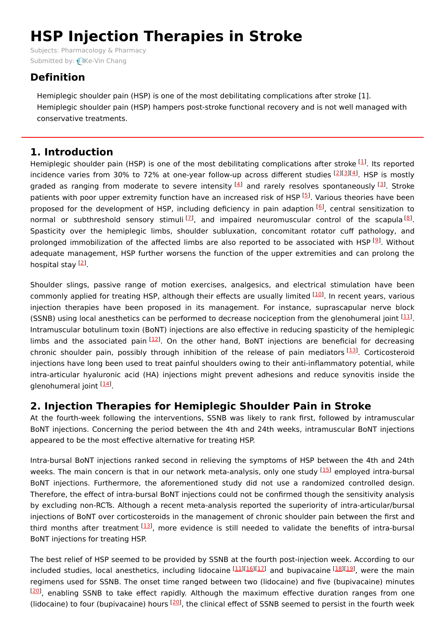# **HSP Injection Therapies in Stroke**

Subjects: [Pharmacology](https://encyclopedia.pub/item/subject/75) & Pharmacy Submitted by: [Ke-Vin](https://sciprofiles.com/profile/551246) Chang

## **Definition**

Hemiplegic shoulder pain (HSP) is one of the most debilitating complications after stroke [1]. Hemiplegic shoulder pain (HSP) hampers post-stroke functional recovery and is not well managed with conservative treatments.

## **1. Introduction**

Hemiplegic shoulder pain (HSP) is one of the most debilitating complications after stroke [\[1](#page-2-0)]. Its reported incidence varies from 30% to 72% at one-year follow-up across different studies [\[2](#page-2-1)][[3](#page-2-2)][\[4](#page-2-3)]. HSP is mostly graded as ranging from moderate to severe intensity <sup>[\[4](#page-2-3)]</sup> and rarely resolves spontaneously <sup>[[3](#page-2-2)]</sup>. Stroke patients with poor upper extremity function have an increased risk of HSP [\[5](#page-2-4)]. Various theories have been proposed for the development of HSP, including deficiency in pain adaption <sup>[\[6](#page-2-5)]</sup>, central sensitization to normal or subthreshold sensory stimuli<sup>[2]</sup>, and impaired neuromuscular control of the scapula<sup>[\[8](#page-2-7)]</sup>. Spasticity over the hemiplegic limbs, shoulder subluxation, concomitant rotator cuff pathology, and prolonged immobilization of the affected limbs are also reported to be associated with HSP [\[9](#page-2-8)]. Without adequate management, HSP further worsens the function of the upper extremities and can prolong the hospital stay <sup>[\[2](#page-2-1)]</sup>.

Shoulder slings, passive range of motion exercises, analgesics, and electrical stimulation have been commonly applied for treating HSP, although their effects are usually limited [[10](#page-2-9)]. In recent years, various injection therapies have been proposed in its management. For instance, suprascapular nerve block (SSNB) using local anesthetics can be performed to decrease nociception from the glenohumeral joint  $[11]$  $[11]$ . Intramuscular botulinum toxin (BoNT) injections are also effective in reducing spasticity of the hemiplegic limbs and the associated pain [\[12\]](#page-2-11). On the other hand, BoNT injections are beneficial for decreasing chronic shoulder pain, possibly through inhibition of the release of pain mediators [\[13\]](#page-2-12). Corticosteroid injections have long been used to treat painful shoulders owing to their anti-inflammatory potential, while intra-articular hyaluronic acid (HA) injections might prevent adhesions and reduce synovitis inside the glenohumeral joint <sup>[\[14](#page-2-13)]</sup>.

## **2. Injection Therapies for Hemiplegic Shoulder Pain in Stroke**

At the fourth-week following the interventions, SSNB was likely to rank first, followed by intramuscular BoNT injections. Concerning the period between the 4th and 24th weeks, intramuscular BoNT injections appeared to be the most effective alternative for treating HSP.

Intra-bursal BoNT injections ranked second in relieving the symptoms of HSP between the 4th and 24th weeks. The main concern is that in our network meta-analysis, only one study <sup>[\[15](#page-2-14)]</sup> employed intra-bursal BoNT injections. Furthermore, the aforementioned study did not use a randomized controlled design. Therefore, the effect of intra-bursal BoNT injections could not be confirmed though the sensitivity analysis by excluding non-RCTs. Although a recent meta-analysis reported the superiority of intra-articular/bursal injections of BoNT over corticosteroids in the management of chronic shoulder pain between the first and third months after treatment [\[13](#page-2-12)], more evidence is still needed to validate the benefits of intra-bursal BoNT injections for treating HSP.

The best relief of HSP seemed to be provided by SSNB at the fourth post-injection week. According to our included studies, local anesthetics, including lidocaine [[11](#page-2-10)][\[16](#page-2-15)][[17](#page-2-16)] and bupivacaine [[18](#page-3-0)][[19](#page-3-1)], were the main regimens used for SSNB. The onset time ranged between two (lidocaine) and five (bupivacaine) minutes <sup>[[20](#page-3-2)]</sup>, enabling SSNB to take effect rapidly. Although the maximum effective duration ranges from one (lidocaine) to four (bupivacaine) hours <sup>[\[20](#page-3-2)]</sup>, the clinical effect of SSNB seemed to persist in the fourth week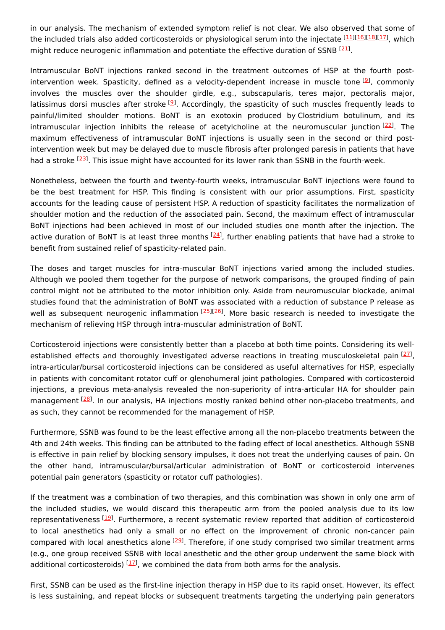in our analysis. The mechanism of extended symptom relief is not clear. We also observed that some of the included trials also added corticosteroids or physiological serum into the injectate [\[11](#page-2-10)][\[16](#page-2-15)][\[18](#page-3-0)][\[17](#page-2-16)], which might reduce neurogenic inflammation and potentiate the effective duration of SSNB <sup>[\[21](#page-3-3)]</sup>.

Intramuscular BoNT injections ranked second in the treatment outcomes of HSP at the fourth post-intervention week. Spasticity, defined as a velocity-dependent increase in muscle tone <sup>[[9](#page-2-8)]</sup>, commonly involves the muscles over the shoulder girdle, e.g., subscapularis, teres major, pectoralis major, latissimus dorsi muscles after stroke <sup>[\[9](#page-2-8)]</sup>. Accordingly, the spasticity of such muscles frequently leads to painful/limited shoulder motions. BoNT is an exotoxin produced by Clostridium botulinum, and its intramuscular injection inhibits the release of acetylcholine at the neuromuscular junction [\[22\]](#page-3-4). The maximum effectiveness of intramuscular BoNT injections is usually seen in the second or third postintervention week but may be delayed due to muscle fibrosis after prolonged paresis in patients that have had a stroke <sup>[[23\]](#page-3-5)</sup>. This issue might have accounted for its lower rank than SSNB in the fourth-week.

Nonetheless, between the fourth and twenty-fourth weeks, intramuscular BoNT injections were found to be the best treatment for HSP. This finding is consistent with our prior assumptions. First, spasticity accounts for the leading cause of persistent HSP. A reduction of spasticity facilitates the normalization of shoulder motion and the reduction of the associated pain. Second, the maximum effect of intramuscular BoNT injections had been achieved in most of our included studies one month after the injection. The active duration of BoNT is at least three months <sup>[\[24](#page-3-6)]</sup>, further enabling patients that have had a stroke to benefit from sustained relief of spasticity-related pain.

The doses and target muscles for intra-muscular BoNT injections varied among the included studies. Although we pooled them together for the purpose of network comparisons, the grouped finding of pain control might not be attributed to the motor inhibition only. Aside from neuromuscular blockade, animal studies found that the administration of BoNT was associated with a reduction of substance P release as well as subsequent neurogenic inflammation [[25](#page-3-7)][\[26\]](#page-3-8). More basic research is needed to investigate the mechanism of relieving HSP through intra-muscular administration of BoNT.

Corticosteroid injections were consistently better than a placebo at both time points. Considering its well-established effects and thoroughly investigated adverse reactions in treating musculoskeletal pain [\[27](#page-3-9)], intra-articular/bursal corticosteroid injections can be considered as useful alternatives for HSP, especially in patients with concomitant rotator cuff or glenohumeral joint pathologies. Compared with corticosteroid injections, a previous meta-analysis revealed the non-superiority of intra-articular HA for shoulder pain management <a>[\[28](#page-3-10)]</a>. In our analysis, HA injections mostly ranked behind other non-placebo treatments, and as such, they cannot be recommended for the management of HSP.

Furthermore, SSNB was found to be the least effective among all the non-placebo treatments between the 4th and 24th weeks. This finding can be attributed to the fading effect of local anesthetics. Although SSNB is effective in pain relief by blocking sensory impulses, it does not treat the underlying causes of pain. On the other hand, intramuscular/bursal/articular administration of BoNT or corticosteroid intervenes potential pain generators (spasticity or rotator cuff pathologies).

If the treatment was a combination of two therapies, and this combination was shown in only one arm of the included studies, we would discard this therapeutic arm from the pooled analysis due to its low representativeness <a>[[19](#page-3-1)]</a>. Furthermore, a recent systematic review reported that addition of corticosteroid to local anesthetics had only a small or no effect on the improvement of chronic non-cancer pain compared with local anesthetics alone <sup>[\[29](#page-3-11)]</sup>. Therefore, if one study comprised two similar treatment arms (e.g., one group received SSNB with local anesthetic and the other group underwent the same block with additional corticosteroids) <sup>[[17\]](#page-2-16)</sup>, we combined the data from both arms for the analysis.

First, SSNB can be used as the first-line injection therapy in HSP due to its rapid onset. However, its effect is less sustaining, and repeat blocks or subsequent treatments targeting the underlying pain generators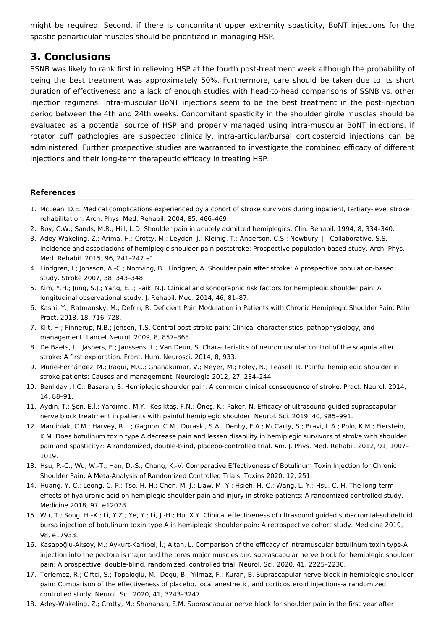might be required. Second, if there is concomitant upper extremity spasticity, BoNT injections for the spastic periarticular muscles should be prioritized in managing HSP.

#### **3. Conclusions**

SSNB was likely to rank first in relieving HSP at the fourth post-treatment week although the probability of being the best treatment was approximately 50%. Furthermore, care should be taken due to its short duration of effectiveness and a lack of enough studies with head-to-head comparisons of SSNB vs. other injection regimens. Intra-muscular BoNT injections seem to be the best treatment in the post-injection period between the 4th and 24th weeks. Concomitant spasticity in the shoulder girdle muscles should be evaluated as a potential source of HSP and properly managed using intra-muscular BoNT injections. If rotator cuff pathologies are suspected clinically, intra-articular/bursal corticosteroid injections can be administered. Further prospective studies are warranted to investigate the combined efficacy of different injections and their long-term therapeutic efficacy in treating HSP.

#### **References**

- <span id="page-2-0"></span>1. McLean, D.E. Medical complications experienced by a cohort of stroke survivors during inpatient, tertiary-level stroke rehabilitation. Arch. Phys. Med. Rehabil. 2004, 85, 466–469.
- <span id="page-2-1"></span>2. Roy, C.W.; Sands, M.R.; Hill, L.D. Shoulder pain in acutely admitted hemiplegics. Clin. Rehabil. 1994, 8, 334–340.
- <span id="page-2-2"></span>3. Adey-Wakeling, Z.; Arima, H.; Crotty, M.; Leyden, J.; Kleinig, T.; Anderson, C.S.; Newbury, J.; Collaborative, S.S. Incidence and associations of hemiplegic shoulder pain poststroke: Prospective population-based study. Arch. Phys. Med. Rehabil. 2015, 96, 241–247.e1.
- <span id="page-2-3"></span>4. Lindgren, I.; Jonsson, A.-C.; Norrving, B.; Lindgren, A. Shoulder pain after stroke: A prospective population-based study. Stroke 2007, 38, 343–348.
- <span id="page-2-4"></span>5. Kim, Y.H.; Jung, S.J.; Yang, E.J.; Paik, N.J. Clinical and sonographic risk factors for hemiplegic shoulder pain: A longitudinal observational study. J. Rehabil. Med. 2014, 46, 81–87.
- <span id="page-2-5"></span>6. Kashi, Y.; Ratmansky, M.; Defrin, R. Deficient Pain Modulation in Patients with Chronic Hemiplegic Shoulder Pain. Pain Pract. 2018, 18, 716–728.
- <span id="page-2-6"></span>7. Klit, H.; Finnerup, N.B.; Jensen, T.S. Central post-stroke pain: Clinical characteristics, pathophysiology, and management. Lancet Neurol. 2009, 8, 857–868.
- <span id="page-2-7"></span>8. De Baets, L.; Jaspers, E.; Janssens, L.; Van Deun, S. Characteristics of neuromuscular control of the scapula after stroke: A first exploration. Front. Hum. Neurosci. 2014, 8, 933.
- <span id="page-2-8"></span>9. Murie-Fernández, M.; Iragui, M.C.; Gnanakumar, V.; Meyer, M.; Foley, N.; Teasell, R. Painful hemiplegic shoulder in stroke patients: Causes and management. Neurología 2012, 27, 234–244.
- <span id="page-2-9"></span>10. Benlidayi, I.C.; Basaran, S. Hemiplegic shoulder pain: A common clinical consequence of stroke. Pract. Neurol. 2014, 14, 88–91.
- <span id="page-2-10"></span>11. Aydın, T.; Şen, E.İ.; Yardımcı, M.Y.; Kesiktaş, F.N.; Öneş, K.; Paker, N. Efficacy of ultrasound-guided suprascapular nerve block treatment in patients with painful hemiplegic shoulder. Neurol. Sci. 2019, 40, 985–991.
- <span id="page-2-11"></span>12. Marciniak, C.M.; Harvey, R.L.; Gagnon, C.M.; Duraski, S.A.; Denby, F.A.; McCarty, S.; Bravi, L.A.; Polo, K.M.; Fierstein, K.M. Does botulinum toxin type A decrease pain and lessen disability in hemiplegic survivors of stroke with shoulder pain and spasticity?: A randomized, double-blind, placebo-controlled trial. Am. J. Phys. Med. Rehabil. 2012, 91, 1007– 1019.
- <span id="page-2-12"></span>13. Hsu, P.-C.; Wu, W.-T.; Han, D.-S.; Chang, K.-V. Comparative Effectiveness of Botulinum Toxin Injection for Chronic Shoulder Pain: A Meta-Analysis of Randomized Controlled Trials. Toxins 2020, 12, 251.
- <span id="page-2-13"></span>14. Huang, Y.-C.; Leong, C.-P.; Tso, H.-H.; Chen, M.-J.; Liaw, M.-Y.; Hsieh, H.-C.; Wang, L.-Y.; Hsu, C.-H. The long-term effects of hyaluronic acid on hemiplegic shoulder pain and injury in stroke patients: A randomized controlled study. Medicine 2018, 97, e12078.
- <span id="page-2-14"></span>15. Wu, T.; Song, H.-X.; Li, Y.Z.; Ye, Y.; Li, J.-H.; Hu, X.Y. Clinical effectiveness of ultrasound guided subacromial-subdeltoid bursa injection of botulinum toxin type A in hemiplegic shoulder pain: A retrospective cohort study. Medicine 2019, 98, e17933.
- <span id="page-2-15"></span>16. Kasapoğlu-Aksoy, M.; Aykurt-Karlıbel, İ.; Altan, L. Comparison of the efficacy of intramuscular botulinum toxin type-A injection into the pectoralis major and the teres major muscles and suprascapular nerve block for hemiplegic shoulder pain: A prospective, double-blind, randomized, controlled trial. Neurol. Sci. 2020, 41, 2225–2230.
- <span id="page-2-16"></span>17. Terlemez, R.; Ciftci, S.; Topaloglu, M.; Dogu, B.; Yilmaz, F.; Kuran, B. Suprascapular nerve block in hemiplegic shoulder pain: Comparison of the effectiveness of placebo, local anesthetic, and corticosteroid injections-a randomized controlled study. Neurol. Sci. 2020, 41, 3243–3247.
- 18. Adey-Wakeling, Z.; Crotty, M.; Shanahan, E.M. Suprascapular nerve block for shoulder pain in the first year after